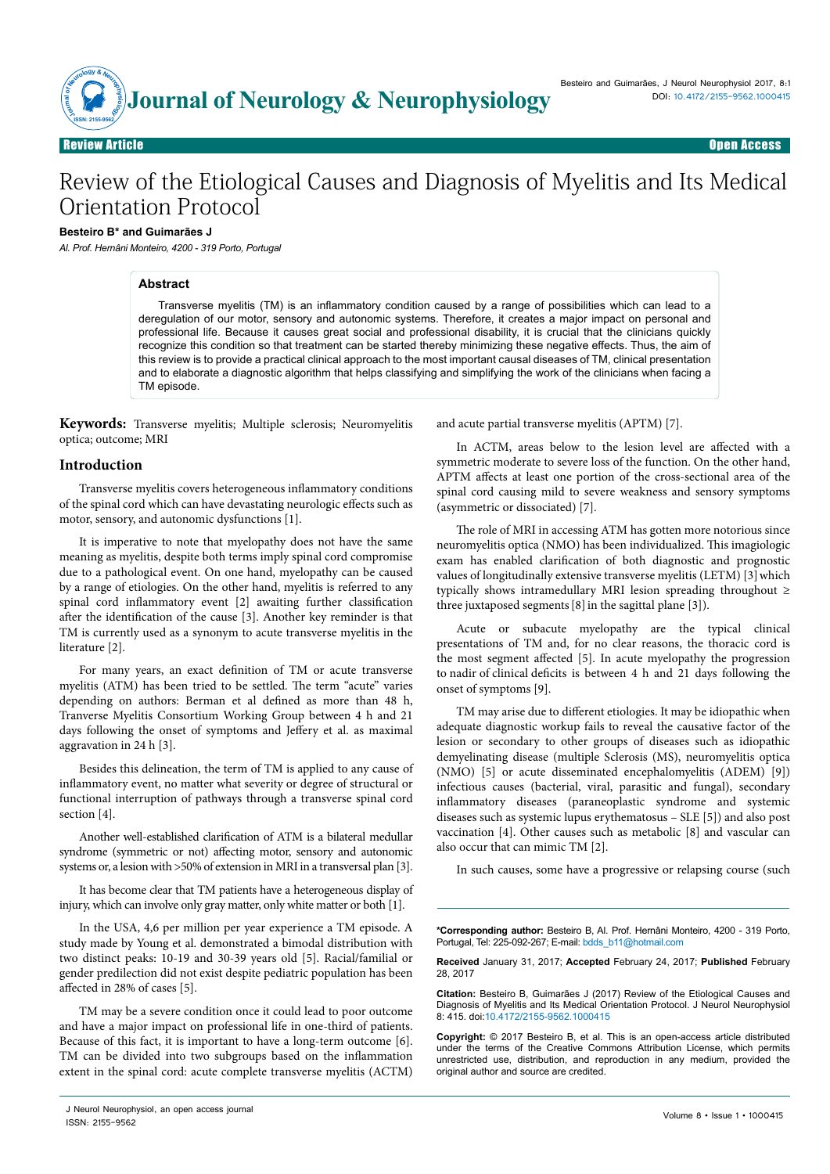

# Review of the Etiological Causes and Diagnosis of Myelitis and Its Medical Orientation Protocol

#### **Besteiro B\* and Guimarães J**

*Al. Prof. Hernâni Monteiro, 4200 - 319 Porto, Portugal* 

## **Abstract**

Transverse myelitis (TM) is an inflammatory condition caused by a range of possibilities which can lead to a deregulation of our motor, sensory and autonomic systems. Therefore, it creates a major impact on personal and professional life. Because it causes great social and professional disability, it is crucial that the clinicians quickly recognize this condition so that treatment can be started thereby minimizing these negative effects. Thus, the aim of this review is to provide a practical clinical approach to the most important causal diseases of TM, clinical presentation and to elaborate a diagnostic algorithm that helps classifying and simplifying the work of the clinicians when facing a TM episode.

**Keywords:** Transverse myelitis; Multiple sclerosis; Neuromyelitis optica; outcome; MRI

### **Introduction**

Transverse myelitis covers heterogeneous inflammatory conditions of the spinal cord which can have devastating neurologic effects such as motor, sensory, and autonomic dysfunctions [1].

It is imperative to note that myelopathy does not have the same meaning as myelitis, despite both terms imply spinal cord compromise due to a pathological event. On one hand, myelopathy can be caused by a range of etiologies. On the other hand, myelitis is referred to any spinal cord inflammatory event [2] awaiting further classification after the identification of the cause [3]. Another key reminder is that TM is currently used as a synonym to acute transverse myelitis in the literature [2].

For many years, an exact definition of TM or acute transverse myelitis (ATM) has been tried to be settled. The term "acute" varies depending on authors: Berman et al defined as more than 48 h, Tranverse Myelitis Consortium Working Group between 4 h and 21 days following the onset of symptoms and Jeffery et al. as maximal aggravation in 24 h [3].

Besides this delineation, the term of TM is applied to any cause of inflammatory event, no matter what severity or degree of structural or functional interruption of pathways through a transverse spinal cord section [4].

Another well-established clarification of ATM is a bilateral medullar syndrome (symmetric or not) affecting motor, sensory and autonomic systems or, a lesion with >50% of extension in MRI in a transversal plan [3].

It has become clear that TM patients have a heterogeneous display of injury, which can involve only gray matter, only white matter or both [1].

In the USA, 4,6 per million per year experience a TM episode. A study made by Young et al. demonstrated a bimodal distribution with two distinct peaks: 10-19 and 30-39 years old [5]. Racial/familial or gender predilection did not exist despite pediatric population has been affected in 28% of cases [5].

TM may be a severe condition once it could lead to poor outcome and have a major impact on professional life in one-third of patients. Because of this fact, it is important to have a long-term outcome [6]. TM can be divided into two subgroups based on the inflammation extent in the spinal cord: acute complete transverse myelitis (ACTM)

and acute partial transverse myelitis (APTM) [7].

In ACTM, areas below to the lesion level are affected with a symmetric moderate to severe loss of the function. On the other hand, APTM affects at least one portion of the cross-sectional area of the spinal cord causing mild to severe weakness and sensory symptoms (asymmetric or dissociated) [7].

The role of MRI in accessing ATM has gotten more notorious since neuromyelitis optica (NMO) has been individualized. This imagiologic exam has enabled clarification of both diagnostic and prognostic values of longitudinally extensive transverse myelitis (LETM) [3] which typically shows intramedullary MRI lesion spreading throughout ≥ three juxtaposed segments  $[8]$  in the sagittal plane  $[3]$ ).

Acute or subacute myelopathy are the typical clinical presentations of TM and, for no clear reasons, the thoracic cord is the most segment affected [5]. In acute myelopathy the progression to nadir of clinical deficits is between 4 h and 21 days following the onset of symptoms [9].

TM may arise due to different etiologies. It may be idiopathic when adequate diagnostic workup fails to reveal the causative factor of the lesion or secondary to other groups of diseases such as idiopathic [demyelinating disease](https://www.google.pt/url?sa=t&rct=j&q=&esrc=s&source=web&cd=1&cad=rja&uact=8&ved=0ahUKEwiu96qaiuvJAhVEKx4KHVWqAHAQFggdMAA&url=https%3A%2F%2Fen.wikipedia.org%2Fwiki%2FDemyelinating_disease&usg=AFQjCNHKnGFOmtFLW4oiAdc-KiyYP6S9qg&sig2=DmaycgISaFLyvZdoZYC9ig&bvm=bv.110151844,d.ZWU) (multiple Sclerosis (MS), neuromyelitis optica (NMO) [5] or acute disseminated encephalomyelitis (ADEM) [9]) infectious causes (bacterial, viral, parasitic and fungal), secondary inflammatory diseases (paraneoplastic syndrome and systemic diseases such as systemic lupus erythematosus – SLE [5]) and also post vaccination [4]. Other causes such as metabolic [8] and vascular can also occur that can mimic TM [2].

In such causes, some have a progressive or relapsing course (such

**\*Corresponding author:** Besteiro B, Al. Prof. Hernâni Monteiro, 4200 - 319 Porto, Portugal, Tel: 225-092-267; E-mail: bdds\_b11@hotmail.com

**Received** January 31, 2017; **Accepted** February 24, 2017; **Published** February 28, 2017

**Citation:** Besteiro B, Guimarães J (2017) Review of the Etiological Causes and Diagnosis of Myelitis and Its Medical Orientation Protocol. J Neurol Neurophysiol 8: 415. doi:10.4172/2155-9562.1000415

**Copyright:** © 2017 Besteiro B, et al. This is an open-access article distributed under the terms of the Creative Commons Attribution License, which permits unrestricted use, distribution, and reproduction in any medium, provided the original author and source are credited.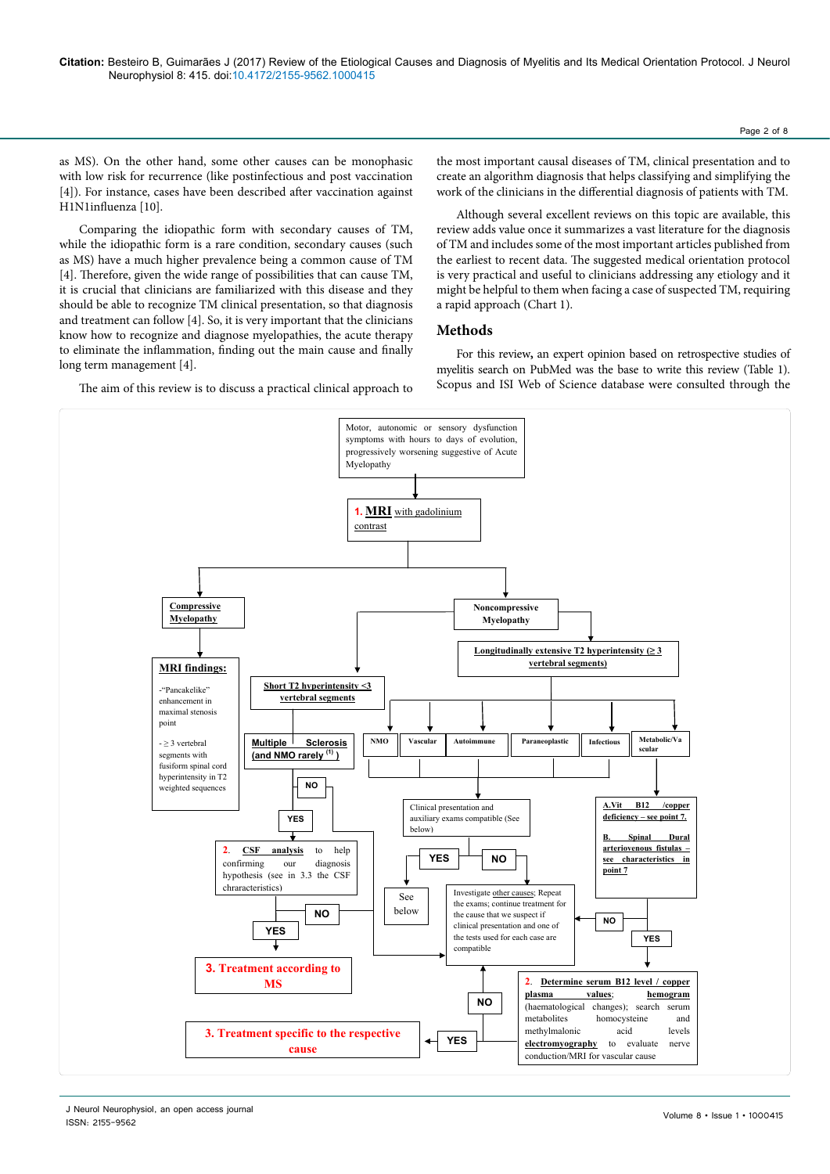as MS). On the other hand, some other causes can be monophasic with low risk for recurrence (like postinfectious and post vaccination [4]). For instance, cases have been described after vaccination against H1N1influenza [10].

Comparing the idiopathic form with secondary causes of TM, while the idiopathic form is a rare condition, secondary causes (such as MS) have a much higher prevalence being a common cause of TM [4]. Therefore, given the wide range of possibilities that can cause TM, it is crucial that clinicians are familiarized with this disease and they should be able to recognize TM clinical presentation, so that diagnosis and treatment can follow [4]. So, it is very important that the clinicians know how to recognize and diagnose myelopathies, the acute therapy to eliminate the inflammation, finding out the main cause and finally long term management [4].

The aim of this review is to discuss a practical clinical approach to

the most important causal diseases of TM, clinical presentation and to create an algorithm diagnosis that helps classifying and simplifying the work of the clinicians in the differential diagnosis of patients with TM.

Although several excellent reviews on this topic are available, this review adds value once it summarizes a vast literature for the diagnosis of TM and includes some of the most important articles published from the earliest to recent data. The suggested medical orientation protocol is very practical and useful to clinicians addressing any etiology and it might be helpful to them when facing a case of suspected TM, requiring a rapid approach (Chart 1).

#### **Methods**

For this review**,** an expert opinion based on retrospective studies of myelitis search on PubMed was the base to write this review (Table 1). Scopus and ISI Web of Science database were consulted through the



**Longitudinally extensive T2 hyperintensity (≥ 3**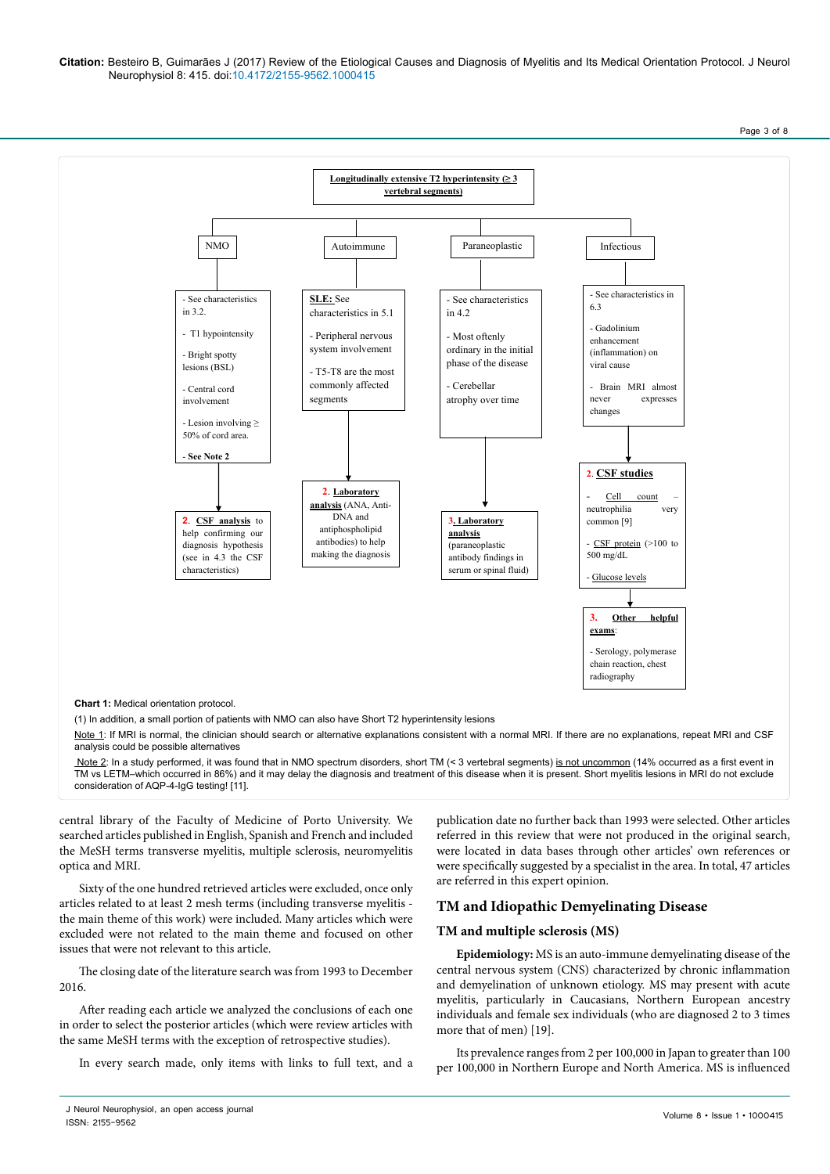Citation: Besteiro B, Guimarães J (2017) Review of the Etiological Causes and Diagnosis of Myelitis and Its Medical Orientation Protocol. J Neurol<br>مقامات المقامات المستحدة المستحدة المستحدة المستحدة المستحدة المستحدة المست Neurophysiol 8: 415. doi:10.4172/2155-9562.1000415 **MS 3. Treatment according to**

Page 3 of 8



TM vs LETM–which occurred in 86%) and it may delay the diagnosis and treatment of this disease when it is present. Short myelitis lesions in MRI do not exclude consideration of AQP-4-IgG testing! [11].

central library of the Faculty of Medicine of Porto University. We searched articles published in English, Spanish and French and included the MeSH terms transverse myelitis, multiple sclerosis, neuromyelitis optica and MRI.

Sixty of the one hundred retrieved articles were excluded, once only articles related to at least 2 mesh terms (including transverse myelitis the main theme of this work) were included. Many articles which were excluded were not related to the main theme and focused on other issues that were not relevant to this article.

The closing date of the literature search was from 1993 to December 2016.

After reading each article we analyzed the conclusions of each one in order to select the posterior articles (which were review articles with the same MeSH terms with the exception of retrospective studies).

In every search made, only items with links to full text, and a

publication date no further back than 1993 were selected. Other articles referred in this review that were not produced in the original search, were located in data bases through other articles' own references or were specifically suggested by a specialist in the area. In total, 47 articles are referred in this expert opinion.

## **TM and Idiopathic [Demyelinating Disease](https://www.google.pt/url?sa=t&rct=j&q=&esrc=s&source=web&cd=1&cad=rja&uact=8&ved=0ahUKEwiu96qaiuvJAhVEKx4KHVWqAHAQFggdMAA&url=https%3A%2F%2Fen.wikipedia.org%2Fwiki%2FDemyelinating_disease&usg=AFQjCNHKnGFOmtFLW4oiAdc-KiyYP6S9qg&sig2=DmaycgISaFLyvZdoZYC9ig&bvm=bv.110151844,d.ZWU)**

### **TM and multiple sclerosis (MS)**

**Epidemiology:** MS is an auto-immune demyelinating disease of the central nervous system (CNS) characterized by chronic inflammation and demyelination of unknown etiology. MS may present with acute myelitis, particularly in Caucasians, Northern European ancestry individuals and female sex individuals (who are diagnosed 2 to 3 times more that of men) [19].

Its prevalence ranges from 2 per 100,000 in Japan to greater than 100 per 100,000 in Northern Europe and North America. MS is influenced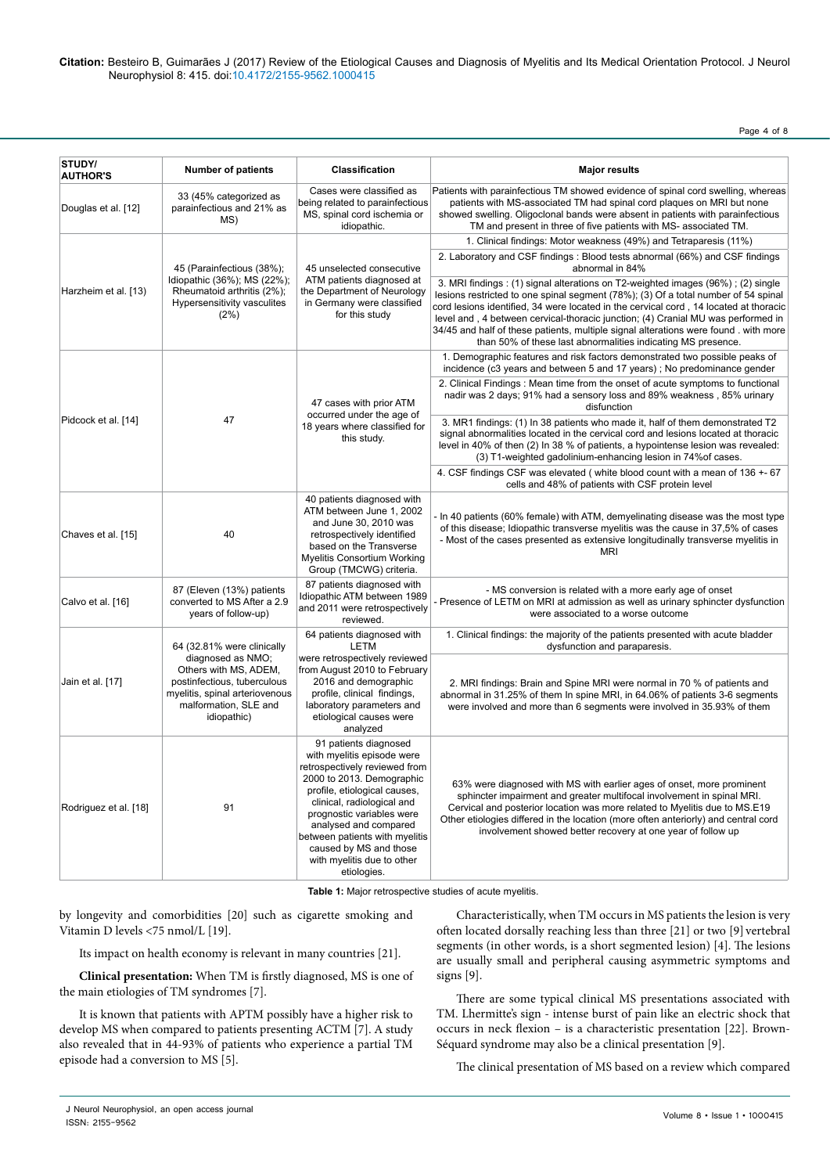Page 4 of 8

| STUDY/<br><b>AUTHOR'S</b> | <b>Number of patients</b>                                                                                                                                                         | <b>Classification</b>                                                                                                                                                                                                                                                                                                                          | <b>Major results</b>                                                                                                                                                                                                                                                                                                                                                                                                                                                                                      |
|---------------------------|-----------------------------------------------------------------------------------------------------------------------------------------------------------------------------------|------------------------------------------------------------------------------------------------------------------------------------------------------------------------------------------------------------------------------------------------------------------------------------------------------------------------------------------------|-----------------------------------------------------------------------------------------------------------------------------------------------------------------------------------------------------------------------------------------------------------------------------------------------------------------------------------------------------------------------------------------------------------------------------------------------------------------------------------------------------------|
| Douglas et al. [12]       | 33 (45% categorized as<br>parainfectious and 21% as<br>MS)                                                                                                                        | Cases were classified as<br>being related to parainfectious<br>MS, spinal cord ischemia or<br>idiopathic.                                                                                                                                                                                                                                      | Patients with parainfectious TM showed evidence of spinal cord swelling, whereas<br>patients with MS-associated TM had spinal cord plaques on MRI but none<br>showed swelling. Oligoclonal bands were absent in patients with parainfectious<br>TM and present in three of five patients with MS- associated TM.                                                                                                                                                                                          |
| Harzheim et al. [13)      | 45 (Parainfectious (38%);<br>Idiopathic (36%); MS (22%);<br>Rheumatoid arthritis (2%);<br>Hypersensitivity vasculites<br>(2%)                                                     | 45 unselected consecutive<br>ATM patients diagnosed at<br>the Department of Neurology<br>in Germany were classified<br>for this study                                                                                                                                                                                                          | 1. Clinical findings: Motor weakness (49%) and Tetraparesis (11%)                                                                                                                                                                                                                                                                                                                                                                                                                                         |
|                           |                                                                                                                                                                                   |                                                                                                                                                                                                                                                                                                                                                | 2. Laboratory and CSF findings : Blood tests abnormal (66%) and CSF findings<br>abnormal in 84%                                                                                                                                                                                                                                                                                                                                                                                                           |
|                           |                                                                                                                                                                                   |                                                                                                                                                                                                                                                                                                                                                | 3. MRI findings: (1) signal alterations on T2-weighted images (96%); (2) single<br>lesions restricted to one spinal segment (78%); (3) Of a total number of 54 spinal<br>cord lesions identified, 34 were located in the cervical cord, 14 located at thoracic<br>level and, 4 between cervical-thoracic junction; (4) Cranial MU was performed in<br>34/45 and half of these patients, multiple signal alterations were found, with more<br>than 50% of these last abnormalities indicating MS presence. |
| Pidcock et al. [14]       | 47                                                                                                                                                                                | 47 cases with prior ATM<br>occurred under the age of<br>18 years where classified for<br>this study.                                                                                                                                                                                                                                           | 1. Demographic features and risk factors demonstrated two possible peaks of<br>incidence (c3 years and between 5 and 17 years); No predominance gender                                                                                                                                                                                                                                                                                                                                                    |
|                           |                                                                                                                                                                                   |                                                                                                                                                                                                                                                                                                                                                | 2. Clinical Findings : Mean time from the onset of acute symptoms to functional<br>nadir was 2 days; 91% had a sensory loss and 89% weakness, 85% urinary<br>disfunction                                                                                                                                                                                                                                                                                                                                  |
|                           |                                                                                                                                                                                   |                                                                                                                                                                                                                                                                                                                                                | 3. MR1 findings: (1) In 38 patients who made it, half of them demonstrated T2<br>signal abnormalities located in the cervical cord and lesions located at thoracic<br>level in 40% of then (2) In 38 % of patients, a hypointense lesion was revealed:<br>(3) T1-weighted gadolinium-enhancing lesion in 74% of cases.                                                                                                                                                                                    |
|                           |                                                                                                                                                                                   |                                                                                                                                                                                                                                                                                                                                                | 4. CSF findings CSF was elevated (white blood count with a mean of 136 +- 67<br>cells and 48% of patients with CSF protein level                                                                                                                                                                                                                                                                                                                                                                          |
| Chaves et al. [15]        | 40                                                                                                                                                                                | 40 patients diagnosed with<br>ATM between June 1, 2002<br>and June 30, 2010 was<br>retrospectively identified<br>based on the Transverse<br>Myelitis Consortium Working<br>Group (TMCWG) criteria.                                                                                                                                             | - In 40 patients (60% female) with ATM, demyelinating disease was the most type<br>of this disease; Idiopathic transverse myelitis was the cause in 37,5% of cases<br>- Most of the cases presented as extensive longitudinally transverse myelitis in<br><b>MRI</b>                                                                                                                                                                                                                                      |
| Calvo et al. [16]         | 87 (Eleven (13%) patients<br>converted to MS After a 2.9<br>years of follow-up)                                                                                                   | 87 patients diagnosed with<br>Idiopathic ATM between 1989<br>and 2011 were retrospectively<br>reviewed.                                                                                                                                                                                                                                        | - MS conversion is related with a more early age of onset<br>Presence of LETM on MRI at admission as well as urinary sphincter dysfunction<br>were associated to a worse outcome                                                                                                                                                                                                                                                                                                                          |
| Jain et al. [17]          | 64 (32.81% were clinically<br>diagnosed as NMO;<br>Others with MS, ADEM,<br>postinfectious, tuberculous<br>myelitis, spinal arteriovenous<br>malformation, SLE and<br>idiopathic) | 64 patients diagnosed with<br><b>LETM</b><br>were retrospectively reviewed<br>from August 2010 to February<br>2016 and demographic<br>profile, clinical findings,<br>laboratory parameters and<br>etiological causes were<br>analyzed                                                                                                          | 1. Clinical findings: the majority of the patients presented with acute bladder<br>dysfunction and paraparesis.                                                                                                                                                                                                                                                                                                                                                                                           |
|                           |                                                                                                                                                                                   |                                                                                                                                                                                                                                                                                                                                                | 2. MRI findings: Brain and Spine MRI were normal in 70 % of patients and<br>abnormal in 31.25% of them In spine MRI, in 64.06% of patients 3-6 segments<br>were involved and more than 6 segments were involved in 35.93% of them                                                                                                                                                                                                                                                                         |
| Rodriguez et al. [18]     | 91                                                                                                                                                                                | 91 patients diagnosed<br>with myelitis episode were<br>retrospectively reviewed from<br>2000 to 2013. Demographic<br>profile, etiological causes,<br>clinical, radiological and<br>prognostic variables were<br>analysed and compared<br>between patients with myelitis<br>caused by MS and those<br>with myelitis due to other<br>etiologies. | 63% were diagnosed with MS with earlier ages of onset, more prominent<br>sphincter impairment and greater multifocal involvement in spinal MRI.<br>Cervical and posterior location was more related to Myelitis due to MS.E19<br>Other etiologies differed in the location (more often anteriorly) and central cord<br>involvement showed better recovery at one year of follow up                                                                                                                        |

**Table 1:** Major retrospective studies of acute myelitis.

by longevity and comorbidities [20] such as cigarette smoking and Vitamin D levels <75 nmol/L [19].

Its impact on health economy is relevant in many countries [21].

**Clinical presentation:** When TM is firstly diagnosed, MS is one of the main etiologies of TM syndromes [7].

It is known that patients with APTM possibly have a higher risk to develop MS when compared to patients presenting ACTM [7]. A study also revealed that in 44-93% of patients who experience a partial TM episode had a conversion to MS [5].

Characteristically, when TM occurs in MS patients the lesion is very often located dorsally reaching less than three [21] or two [9] vertebral segments (in other words, is a short segmented lesion) [4]. The lesions are usually small and peripheral causing asymmetric symptoms and signs [9].

There are some typical clinical MS presentations associated with TM. Lhermitte's sign - intense burst of pain like an electric shock that occurs in neck flexion – is a characteristic presentation [22]. Brown-Séquard syndrome may also be a clinical presentation [9].

The clinical presentation of MS based on a review which compared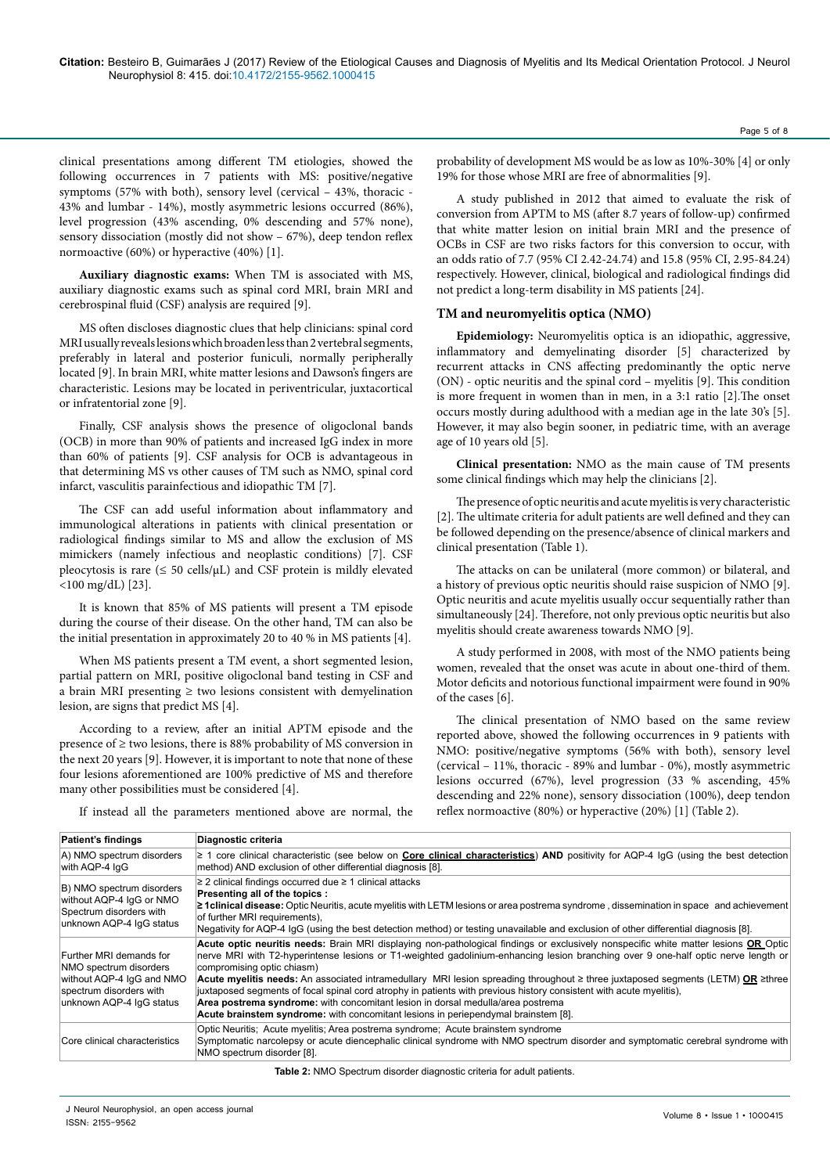clinical presentations among different TM etiologies, showed the following occurrences in 7 patients with MS: positive/negative symptoms (57% with both), sensory level (cervical – 43%, thoracic - 43% and lumbar - 14%), mostly asymmetric lesions occurred (86%), level progression (43% ascending, 0% descending and 57% none), sensory dissociation (mostly did not show – 67%), deep tendon reflex normoactive (60%) or hyperactive (40%) [1].

**Auxiliary diagnostic exams:** When TM is associated with MS, auxiliary diagnostic exams such as spinal cord MRI, brain MRI and cerebrospinal fluid (CSF) analysis are required [9].

MS often discloses diagnostic clues that help clinicians: spinal cord MRIusuallyrevealslesionswhichbroadenlessthan2vertebralsegments, preferably in lateral and posterior funiculi, normally peripherally located [9]. In brain MRI, white matter lesions and Dawson's fingers are characteristic. Lesions may be located in periventricular, juxtacortical or infratentorial zone [9].

Finally, CSF analysis shows the presence of oligoclonal bands (OCB) in more than 90% of patients and increased IgG index in more than 60% of patients [9]. CSF analysis for OCB is advantageous in that determining MS vs other causes of TM such as NMO, spinal cord infarct, vasculitis parainfectious and idiopathic TM [7].

The CSF can add useful information about inflammatory and immunological alterations in patients with clinical presentation or radiological findings similar to MS and allow the exclusion of MS mimickers (namely infectious and neoplastic conditions) [7]. CSF pleocytosis is rare  $(\leq 50 \text{ cells/}\mu\text{L})$  and CSF protein is mildly elevated <100 mg/dL) [23].

It is known that 85% of MS patients will present a TM episode during the course of their disease. On the other hand, TM can also be the initial presentation in approximately 20 to 40 % in MS patients [4].

When MS patients present a TM event, a short segmented lesion, partial pattern on MRI, positive oligoclonal band testing in CSF and a brain MRI presenting  $\geq$  two lesions consistent with demyelination lesion, are signs that predict MS [4].

According to a review, after an initial APTM episode and the presence of ≥ two lesions, there is 88% probability of MS conversion in the next 20 years [9]. However, it is important to note that none of these four lesions aforementioned are 100% predictive of MS and therefore many other possibilities must be considered [4].

probability of development MS would be as low as 10%-30% [4] or only 19% for those whose MRI are free of abnormalities [9].

A study published in 2012 that aimed to evaluate the risk of conversion from APTM to MS (after 8.7 years of follow-up) confirmed that white matter lesion on initial brain MRI and the presence of OCBs in CSF are two risks factors for this conversion to occur, with an odds ratio of 7.7 (95% CI 2.42-24.74) and 15.8 (95% CI, 2.95-84.24) respectively. However, clinical, biological and radiological findings did not predict a long-term disability in MS patients [24].

#### **TM and neuromyelitis optica (NMO)**

**Epidemiology:** Neuromyelitis optica is an idiopathic, aggressive, inflammatory and demyelinating disorder [5] characterized by recurrent attacks in CNS affecting predominantly the optic nerve (ON) - optic neuritis and the spinal cord – myelitis [9]. This condition is more frequent in women than in men, in a 3:1 ratio [2].The onset occurs mostly during adulthood with a median age in the late 30's [5]. However, it may also begin sooner, in pediatric time, with an average age of 10 years old [5].

**Clinical presentation:** NMO as the main cause of TM presents some clinical findings which may help the clinicians [2].

The presence of optic neuritis and acute myelitis is very characteristic [2]. The ultimate criteria for adult patients are well defined and they can be followed depending on the presence/absence of clinical markers and clinical presentation (Table 1).

The attacks on can be unilateral (more common) or bilateral, and a history of previous optic neuritis should raise suspicion of NMO [9]. Optic neuritis and acute myelitis usually occur sequentially rather than simultaneously [24]. Therefore, not only previous optic neuritis but also myelitis should create awareness towards NMO [9].

A study performed in 2008, with most of the NMO patients being women, revealed that the onset was acute in about one-third of them. Motor deficits and notorious functional impairment were found in 90% of the cases [6].

The clinical presentation of NMO based on the same review reported above, showed the following occurrences in 9 patients with NMO: positive/negative symptoms (56% with both), sensory level (cervical – 11%, thoracic - 89% and lumbar - 0%), mostly asymmetric lesions occurred (67%), level progression (33 % ascending, 45% descending and 22% none), sensory dissociation (100%), deep tendon reflex normoactive (80%) or hyperactive (20%) [1] (Table 2).

If instead all the parameters mentioned above are normal, the

| <b>Patient's findings</b>                                                                                                             | Diagnostic criteria                                                                                                                                                                                                                                                                                                                                                                                                                                                                                                                                                                                                                                                                                                                       |
|---------------------------------------------------------------------------------------------------------------------------------------|-------------------------------------------------------------------------------------------------------------------------------------------------------------------------------------------------------------------------------------------------------------------------------------------------------------------------------------------------------------------------------------------------------------------------------------------------------------------------------------------------------------------------------------------------------------------------------------------------------------------------------------------------------------------------------------------------------------------------------------------|
| A) NMO spectrum disorders<br>with AQP-4 IqG                                                                                           | $\geq$ 1 core clinical characteristic (see below on <b>Core clinical characteristics</b> ) AND positivity for AQP-4 IgG (using the best detection<br>method) AND exclusion of other differential diagnosis [8].                                                                                                                                                                                                                                                                                                                                                                                                                                                                                                                           |
| B) NMO spectrum disorders<br>without AQP-4 IgG or NMO<br>Spectrum disorders with<br>unknown AQP-4 IqG status                          | $\geq$ 2 clinical findings occurred due $\geq$ 1 clinical attacks<br>Presenting all of the topics :<br><b>2 1 clinical disease:</b> Optic Neuritis, acute myelitis with LETM lesions or area postrema syndrome, dissemination in space and achievement<br>of further MRI requirements).<br>Negativity for AQP-4 IgG (using the best detection method) or testing unavailable and exclusion of other differential diagnosis [8].                                                                                                                                                                                                                                                                                                           |
| Further MRI demands for<br>NMO spectrum disorders<br>without AQP-4 IqG and NMO<br>spectrum disorders with<br>unknown AQP-4 IgG status | Acute optic neuritis needs: Brain MRI displaying non-pathological findings or exclusively nonspecific white matter lesions OR Optic<br>nerve MRI with T2-hyperintense lesions or T1-weighted gadolinium-enhancing lesion branching over 9 one-half optic nerve length or<br>compromising optic chiasm)<br>Acute myelitis needs: An associated intramedullary MRI lesion spreading throughout ≥ three juxtaposed segments (LETM) OR ≥three<br>juxtaposed segments of focal spinal cord atrophy in patients with previous history consistent with acute myelitis),<br>Area postrema syndrome: with concomitant lesion in dorsal medulla/area postrema<br>Acute brainstem syndrome: with concomitant lesions in periependymal brainstem [8]. |
| Core clinical characteristics                                                                                                         | Optic Neuritis; Acute myelitis; Area postrema syndrome; Acute brainstem syndrome<br>Symptomatic narcolepsy or acute diencephalic clinical syndrome with NMO spectrum disorder and symptomatic cerebral syndrome with<br>NMO spectrum disorder [8].                                                                                                                                                                                                                                                                                                                                                                                                                                                                                        |

**Table 2:** NMO Spectrum disorder diagnostic criteria for adult patients.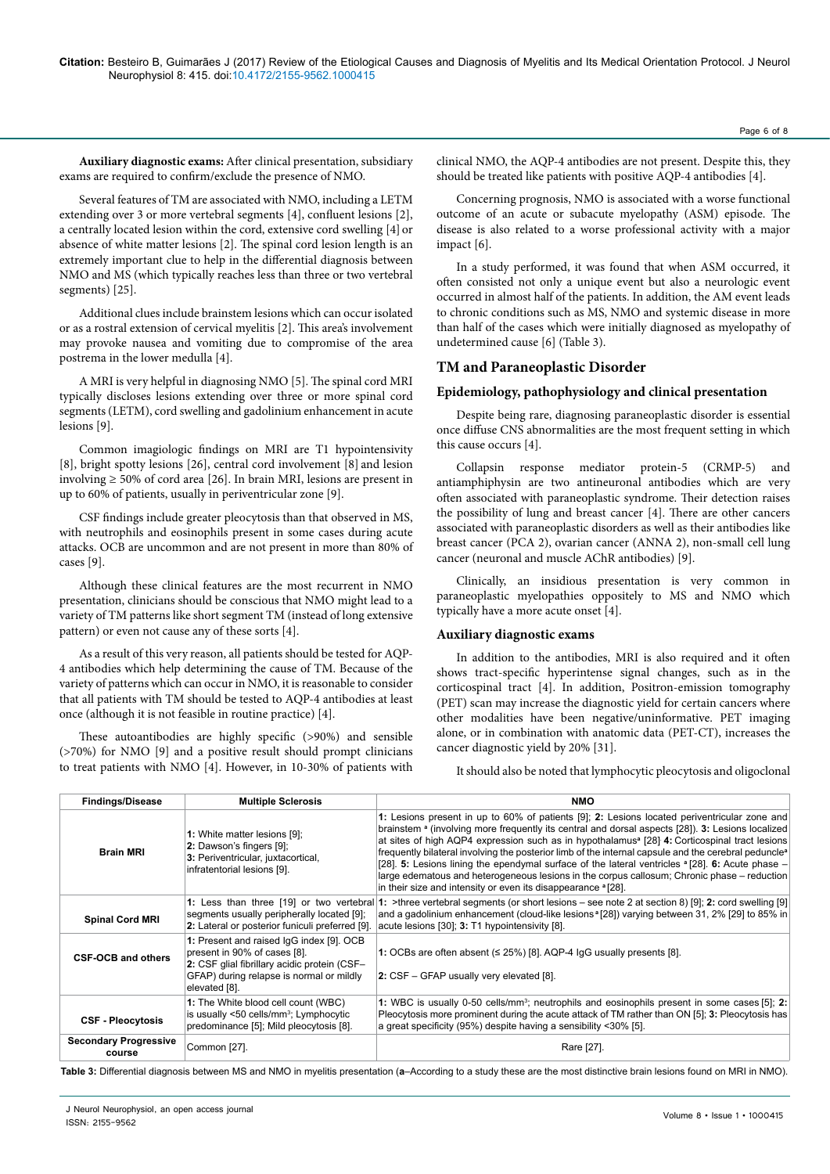**Auxiliary diagnostic exams:** After clinical presentation, subsidiary exams are required to confirm/exclude the presence of NMO.

Several features of TM are associated with NMO, including a LETM extending over 3 or more vertebral segments [4], confluent lesions [2], a centrally located lesion within the cord, extensive cord swelling [4] or absence of white matter lesions [2]. The spinal cord lesion length is an extremely important clue to help in the differential diagnosis between NMO and MS (which typically reaches less than three or two vertebral segments) [25].

Additional clues include brainstem lesions which can occur isolated or as a rostral extension of cervical myelitis [2]. This area's involvement may provoke nausea and vomiting due to compromise of the area postrema in the lower medulla [4].

A MRI is very helpful in diagnosing NMO [5]. The spinal cord MRI typically discloses lesions extending over three or more spinal cord segments (LETM), cord swelling and gadolinium enhancement in acute lesions [9].

Common imagiologic findings on MRI are T1 hypointensivity [8], bright spotty lesions [26], central cord involvement [8] and lesion involving ≥ 50% of cord area [26]. In brain MRI, lesions are present in up to 60% of patients, usually in periventricular zone [9].

CSF findings include greater pleocytosis than that observed in MS, with neutrophils and eosinophils present in some cases during acute attacks. OCB are uncommon and are not present in more than 80% of cases [9].

Although these clinical features are the most recurrent in NMO presentation, clinicians should be conscious that NMO might lead to a variety of TM patterns like short segment TM (instead of long extensive pattern) or even not cause any of these sorts [4].

As a result of this very reason, all patients should be tested for AQP-4 antibodies which help determining the cause of TM. Because of the variety of patterns which can occur in NMO, it is reasonable to consider that all patients with TM should be tested to AQP-4 antibodies at least once (although it is not feasible in routine practice) [4].

These autoantibodies are highly specific (>90%) and sensible (>70%) for NMO [9] and a positive result should prompt clinicians to treat patients with NMO [4]. However, in 10-30% of patients with

clinical NMO, the AQP-4 antibodies are not present. Despite this, they should be treated like patients with positive AQP-4 antibodies [4].

Concerning prognosis, NMO is associated with a worse functional outcome of an acute or subacute myelopathy (ASM) episode. The disease is also related to a worse professional activity with a major impact [6].

In a study performed, it was found that when ASM occurred, it often consisted not only a unique event but also a neurologic event occurred in almost half of the patients. In addition, the AM event leads to chronic conditions such as MS, NMO and systemic disease in more than half of the cases which were initially diagnosed as myelopathy of undetermined cause [6] (Table 3).

## **TM and Paraneoplastic Disorder**

## **Epidemiology, pathophysiology and clinical presentation**

Despite being rare, diagnosing paraneoplastic disorder is essential once diffuse CNS abnormalities are the most frequent setting in which this cause occurs [4].

Collapsin response mediator protein-5 (CRMP-5) and antiamphiphysin are two antineuronal antibodies which are very often associated with paraneoplastic syndrome. Their detection raises the possibility of lung and breast cancer [4]. There are other cancers associated with paraneoplastic disorders as well as their antibodies like breast cancer (PCA 2), ovarian cancer (ANNA 2), non-small cell lung cancer (neuronal and muscle AChR antibodies) [9].

Clinically, an insidious presentation is very common in paraneoplastic myelopathies oppositely to MS and NMO which typically have a more acute onset [4].

#### **Auxiliary diagnostic exams**

In addition to the antibodies, MRI is also required and it often shows tract-specific hyperintense signal changes, such as in the corticospinal tract [4]. In addition, Positron-emission tomography (PET) scan may increase the diagnostic yield for certain cancers where other modalities have been negative/uninformative. PET imaging alone, or in combination with anatomic data (PET-CT), increases the cancer diagnostic yield by 20% [31].

It should also be noted that lymphocytic pleocytosis and oligoclonal

| <b>Findings/Disease</b>                | <b>Multiple Sclerosis</b>                                                                                                                                                             | <b>NMO</b>                                                                                                                                                                                                                                                                                                                                                                                                                                                                                                                                                                                                                                                                                                               |
|----------------------------------------|---------------------------------------------------------------------------------------------------------------------------------------------------------------------------------------|--------------------------------------------------------------------------------------------------------------------------------------------------------------------------------------------------------------------------------------------------------------------------------------------------------------------------------------------------------------------------------------------------------------------------------------------------------------------------------------------------------------------------------------------------------------------------------------------------------------------------------------------------------------------------------------------------------------------------|
| <b>Brain MRI</b>                       | 1: White matter lesions [9];<br>2: Dawson's fingers [9];<br>3: Periventricular, juxtacortical,<br>infratentorial lesions [9].                                                         | 1: Lesions present in up to 60% of patients [9]; 2: Lesions located periventricular zone and<br>brainstem $a$ (involving more frequently its central and dorsal aspects $[28]$ ). 3: Lesions localized<br>at sites of high AQP4 expression such as in hypothalamus <sup>ª</sup> [28] 4: Corticospinal tract lesions<br>frequently bilateral involving the posterior limb of the internal capsule and the cerebral peduncle <sup>a</sup><br>[28]. 5: Lesions lining the ependymal surface of the lateral ventricles $a$ [28]. 6: Acute phase –<br>large edematous and heterogeneous lesions in the corpus callosum; Chronic phase – reduction<br>in their size and intensity or even its disappearance <sup>a</sup> [28]. |
| <b>Spinal Cord MRI</b>                 | segments usually peripherally located [9];<br>2: Lateral or posterior funiculi preferred [9].                                                                                         | 1: Less than three [19] or two vertebral 1: >three vertebral segments (or short lesions – see note 2 at section 8) [9]; 2: cord swelling [9]<br>and a gadolinium enhancement (cloud-like lesions <sup>a</sup> [28]) varying between 31, 2% [29] to 85% in<br>acute lesions [30]; 3: T1 hypointensivity [8].                                                                                                                                                                                                                                                                                                                                                                                                              |
| <b>CSF-OCB and others</b>              | 1: Present and raised IgG index [9]. OCB<br>present in 90% of cases [8].<br>2: CSF glial fibrillary acidic protein (CSF-<br>GFAP) during relapse is normal or mildly<br>elevated [8]. | 1: OCBs are often absent $( \leq 25\%)$ [8]. AQP-4 lgG usually presents [8].<br>2: CSF – GFAP usually very elevated [8].                                                                                                                                                                                                                                                                                                                                                                                                                                                                                                                                                                                                 |
| <b>CSF - Pleocytosis</b>               | 1: The White blood cell count (WBC)<br>is usually <50 cells/mm <sup>3</sup> ; Lymphocytic<br>predominance [5]; Mild pleocytosis [8].                                                  | 1: WBC is usually 0-50 cells/mm <sup>3</sup> ; neutrophils and eosinophils present in some cases [5]; 2:<br>Pleocytosis more prominent during the acute attack of TM rather than ON [5]; 3: Pleocytosis has<br>a great specificity (95%) despite having a sensibility <30% [5].                                                                                                                                                                                                                                                                                                                                                                                                                                          |
| <b>Secondary Progressive</b><br>course | Common [27].                                                                                                                                                                          | Rare [27].                                                                                                                                                                                                                                                                                                                                                                                                                                                                                                                                                                                                                                                                                                               |

**Table 3:** Differential diagnosis between MS and NMO in myelitis presentation (**a**–According to a study these are the most distinctive brain lesions found on MRI in NMO).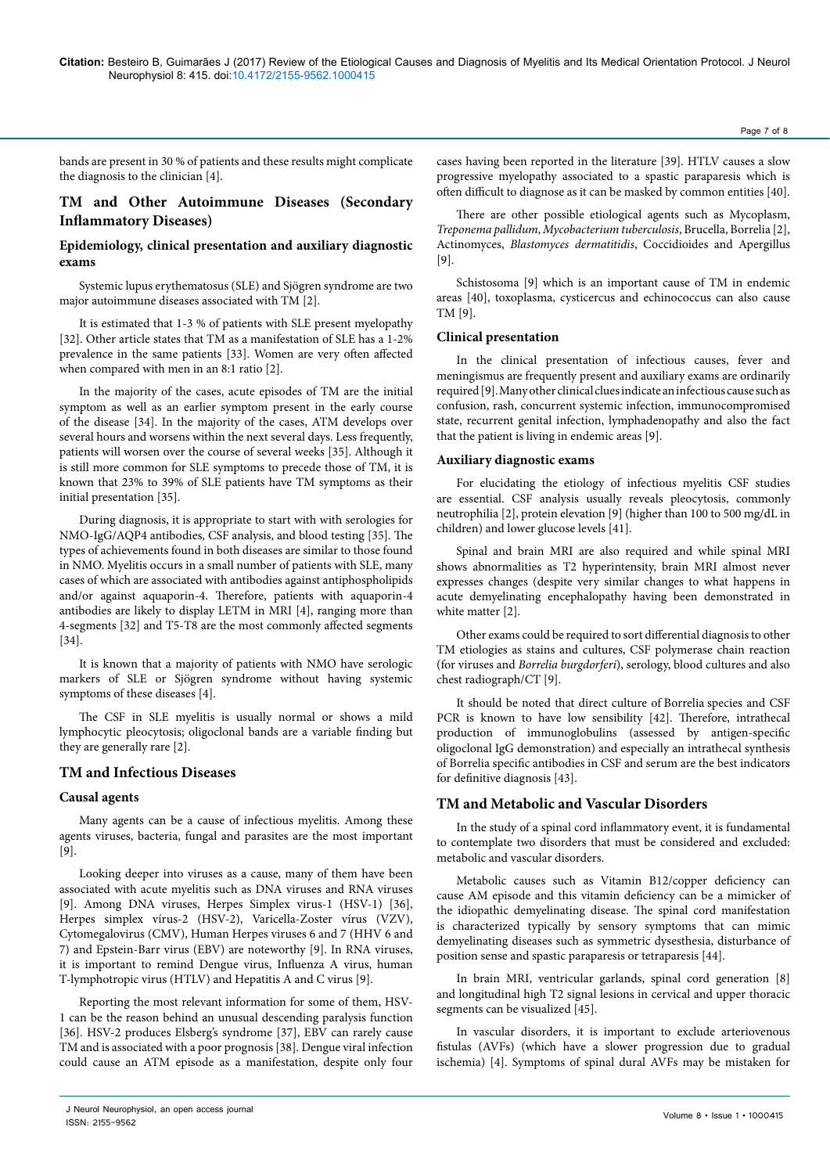bands are present in 30 % of patients and these results might complicate the diagnosis to the clinician [4].

# **TM and Other Autoimmune Diseases (Secondary Inflammatory Diseases)**

### **Epidemiology, clinical presentation and auxiliary diagnostic exams**

Systemic lupus erythematosus (SLE) and Sjögren syndrome are two major autoimmune diseases associated with TM [2].

It is estimated that 1-3 % of patients with SLE present myelopathy [32]. Other article states that TM as a manifestation of SLE has a 1-2% prevalence in the same patients [33]. Women are very often affected when compared with men in an 8:1 ratio [2].

In the majority of the cases, acute episodes of TM are the initial symptom as well as an earlier symptom present in the early course of the disease [34]. In the majority of the cases, ATM develops over several hours and worsens within the next several days. Less frequently, patients will worsen over the course of several weeks [35]. Although it is still more common for SLE symptoms to precede those of TM, it is known that 23% to 39% of SLE patients have TM symptoms as their initial presentation [35].

During diagnosis, it is appropriate to start with with serologies for NMO-IgG/AQP4 antibodies, CSF analysis, and blood testing [35]. The types of achievements found in both diseases are similar to those found in NMO. Myelitis occurs in a small number of patients with SLE, many cases of which are associated with antibodies against antiphospholipids and/or against aquaporin-4. Therefore, patients with aquaporin-4 antibodies are likely to display LETM in MRI [4], ranging more than 4-segments [32] and T5-T8 are the most commonly affected segments [34].

It is known that a majority of patients with NMO have serologic markers of SLE or Sjögren syndrome without having systemic symptoms of these diseases [4].

The CSF in SLE myelitis is usually normal or shows a mild lymphocytic pleocytosis; oligoclonal bands are a variable finding but they are generally rare [2].

### **TM and Infectious Diseases**

#### **Causal agents**

Many agents can be a cause of infectious myelitis. Among these agents viruses, bacteria, fungal and parasites are the most important [9].

Looking deeper into viruses as a cause, many of them have been associated with acute myelitis such as DNA viruses and RNA viruses [9]. Among DNA viruses, Herpes Simplex virus-1 (HSV-1) [36], Herpes simplex vírus-2 (HSV-2), Varicella-Zoster vírus (VZV), Cytomegalovirus (CMV), Human Herpes viruses 6 and 7 (HHV 6 and 7) and Epstein-Barr virus (EBV) are noteworthy [9]. In RNA viruses, it is important to remind Dengue virus, Influenza A virus, human T-lymphotropic virus (HTLV) and Hepatitis A and C virus [9].

Reporting the most relevant information for some of them, HSV-1 can be the reason behind an unusual descending paralysis function [36]. HSV-2 produces Elsberg's syndrome [37], EBV can rarely cause TM and is associated with a poor prognosis [38]. Dengue viral infection could cause an ATM episode as a manifestation, despite only four cases having been reported in the literature [39]. HTLV causes a slow progressive myelopathy associated to a spastic paraparesis which is often difficult to diagnose as it can be masked by common entities [40].

There are other possible etiological agents such as Mycoplasm, *Treponema pallidum*, *Mycobacterium tuberculosis*, Brucella, Borrelia [2], Actinomyces, *Blastomyces dermatitidis*, Coccidioides and Apergillus [9].

Schistosoma [9] which is an important cause of TM in endemic areas [40], toxoplasma, cysticercus and echinococcus can also cause TM [9].

#### **Clinical presentation**

In the clinical presentation of infectious causes, fever and meningismus are frequently present and auxiliary exams are ordinarily required [9].Many other clinical clues indicate an infectious cause such as confusion, rash, concurrent systemic infection, immunocompromised state, recurrent genital infection, lymphadenopathy and also the fact that the patient is living in endemic areas [9].

#### **Auxiliary diagnostic exams**

For elucidating the etiology of infectious myelitis CSF studies are essential. CSF analysis usually reveals pleocytosis, commonly neutrophilia [2], protein elevation [9] (higher than 100 to 500 mg/dL in children) and lower glucose levels [41].

Spinal and brain MRI are also required and while spinal MRI shows abnormalities as T2 hyperintensity, brain MRI almost never expresses changes (despite very similar changes to what happens in acute demyelinating encephalopathy having been demonstrated in white matter [2].

Other exams could be required to sort differential diagnosis to other TM etiologies as stains and cultures, CSF polymerase chain reaction (for viruses and *Borrelia burgdorferi*), serology, blood cultures and also chest radiograph/CT [9].

It should be noted that direct culture of Borrelia species and CSF PCR is known to have low sensibility [42]. Therefore, intrathecal production of immunoglobulins (assessed by antigen-specific oligoclonal IgG demonstration) and especially an intrathecal synthesis of Borrelia specific antibodies in CSF and serum are the best indicators for definitive diagnosis [43].

#### **TM and Metabolic and Vascular Disorders**

In the study of a spinal cord inflammatory event, it is fundamental to contemplate two disorders that must be considered and excluded: metabolic and vascular disorders.

Metabolic causes such as Vitamin B12/copper deficiency can cause AM episode and this vitamin deficiency can be a mimicker of the idiopathic [demyelinating disease](https://www.google.pt/url?sa=t&rct=j&q=&esrc=s&source=web&cd=1&cad=rja&uact=8&ved=0ahUKEwiu96qaiuvJAhVEKx4KHVWqAHAQFggdMAA&url=https%3A%2F%2Fen.wikipedia.org%2Fwiki%2FDemyelinating_disease&usg=AFQjCNHKnGFOmtFLW4oiAdc-KiyYP6S9qg&sig2=DmaycgISaFLyvZdoZYC9ig&bvm=bv.110151844,d.ZWU). The spinal cord manifestation is characterized typically by sensory symptoms that can mimic demyelinating diseases such as symmetric dysesthesia, disturbance of position sense and spastic paraparesis or tetraparesis [44].

In brain MRI, ventricular garlands, spinal cord generation [8] and longitudinal high T2 signal lesions in cervical and upper thoracic segments can be visualized [45].

In vascular disorders, it is important to exclude arteriovenous fistulas (AVFs) (which have a slower progression due to gradual ischemia) [4]. Symptoms of spinal dural AVFs may be mistaken for